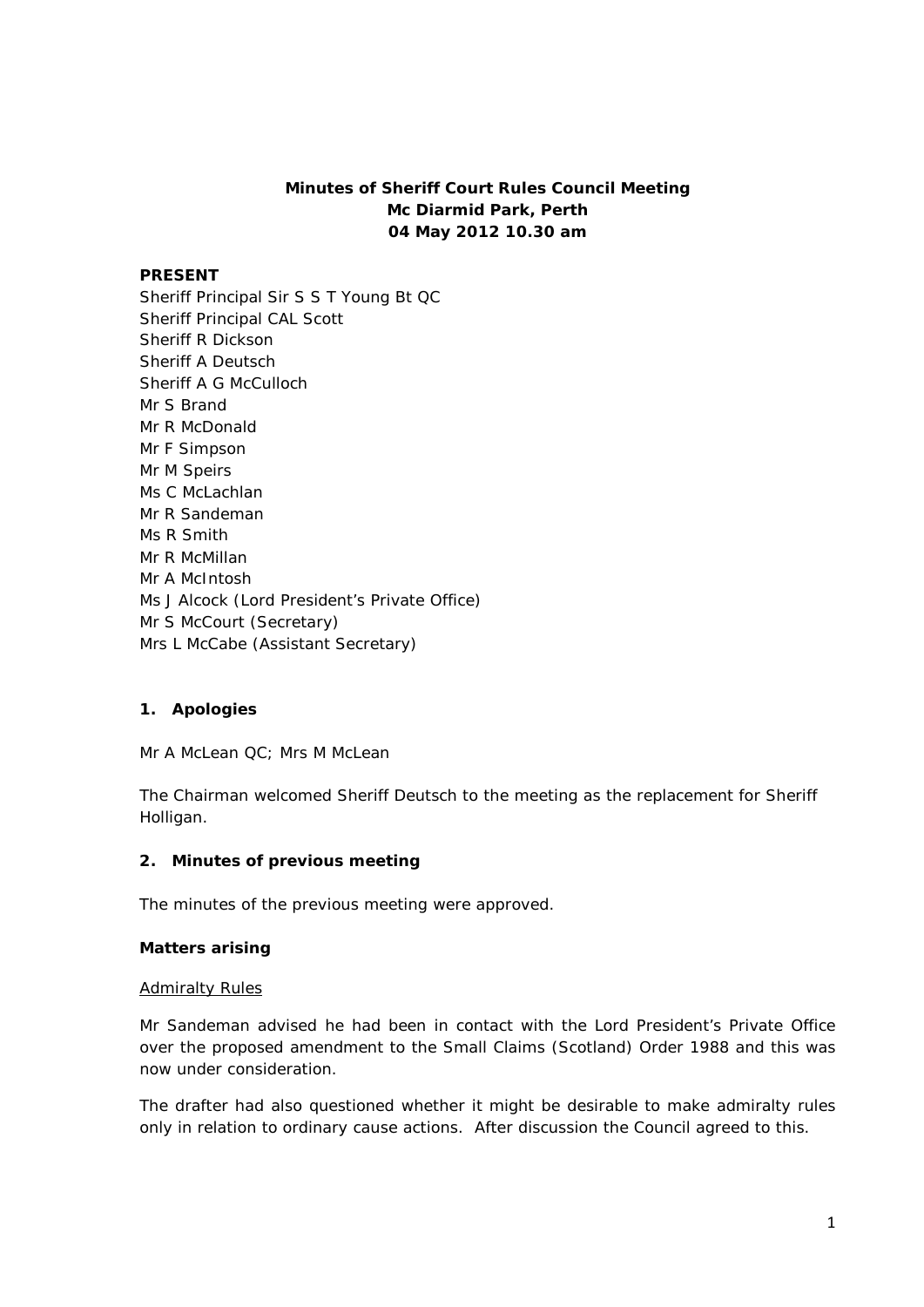# **Minutes of Sheriff Court Rules Council Meeting Mc Diarmid Park, Perth 04 May 2012 10.30 am**

### **PRESENT**

Sheriff Principal Sir S S T Young Bt QC Sheriff Principal CAL Scott Sheriff R Dickson Sheriff A Deutsch Sheriff A G McCulloch Mr S Brand Mr R McDonald Mr F Simpson Mr M Speirs Ms C McLachlan Mr R Sandeman Ms R Smith Mr R McMillan Mr A McIntosh Ms J Alcock (Lord President's Private Office) Mr S McCourt (Secretary) Mrs L McCabe (Assistant Secretary)

## **1. Apologies**

Mr A McLean QC; Mrs M McLean

The Chairman welcomed Sheriff Deutsch to the meeting as the replacement for Sheriff Holligan.

### **2. Minutes of previous meeting**

The minutes of the previous meeting were approved.

### **Matters arising**

#### Admiralty Rules

Mr Sandeman advised he had been in contact with the Lord President's Private Office over the proposed amendment to the Small Claims (Scotland) Order 1988 and this was now under consideration.

The drafter had also questioned whether it might be desirable to make admiralty rules only in relation to ordinary cause actions. After discussion the Council agreed to this.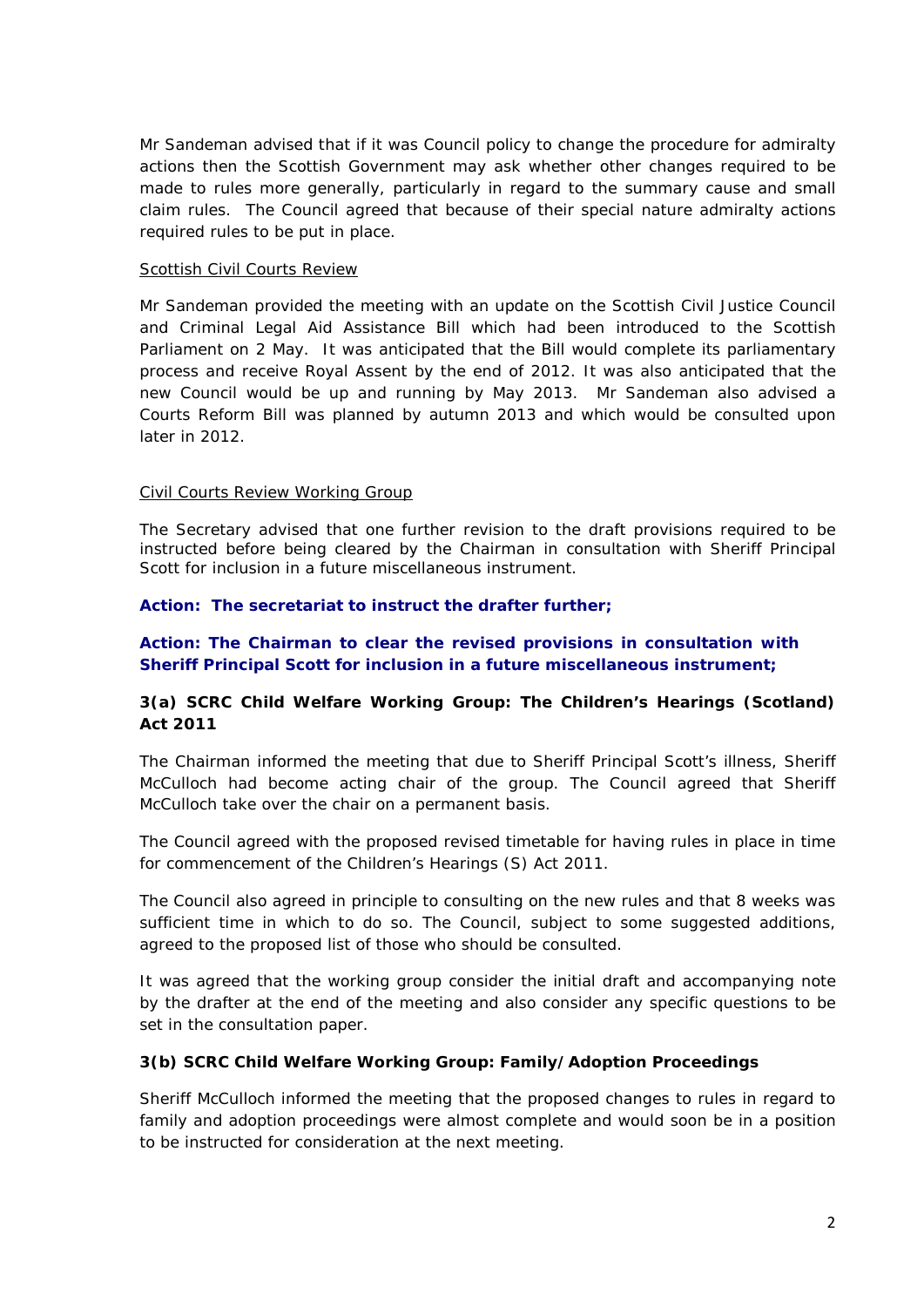Mr Sandeman advised that if it was Council policy to change the procedure for admiralty actions then the Scottish Government may ask whether other changes required to be made to rules more generally, particularly in regard to the summary cause and small claim rules. The Council agreed that because of their special nature admiralty actions required rules to be put in place.

### Scottish Civil Courts Review

Mr Sandeman provided the meeting with an update on the Scottish Civil Justice Council and Criminal Legal Aid Assistance Bill which had been introduced to the Scottish Parliament on 2 May. It was anticipated that the Bill would complete its parliamentary process and receive Royal Assent by the end of 2012. It was also anticipated that the new Council would be up and running by May 2013. Mr Sandeman also advised a Courts Reform Bill was planned by autumn 2013 and which would be consulted upon later in 2012.

## Civil Courts Review Working Group

The Secretary advised that one further revision to the draft provisions required to be instructed before being cleared by the Chairman in consultation with Sheriff Principal Scott for inclusion in a future miscellaneous instrument.

## **Action: The secretariat to instruct the drafter further;**

## **Action: The Chairman to clear the revised provisions in consultation with Sheriff Principal Scott for inclusion in a future miscellaneous instrument;**

## **3(a) SCRC Child Welfare Working Group: The Children's Hearings (Scotland) Act 2011**

The Chairman informed the meeting that due to Sheriff Principal Scott's illness, Sheriff McCulloch had become acting chair of the group. The Council agreed that Sheriff McCulloch take over the chair on a permanent basis.

The Council agreed with the proposed revised timetable for having rules in place in time for commencement of the Children's Hearings (S) Act 2011.

The Council also agreed in principle to consulting on the new rules and that 8 weeks was sufficient time in which to do so. The Council, subject to some suggested additions, agreed to the proposed list of those who should be consulted.

It was agreed that the working group consider the initial draft and accompanying note by the drafter at the end of the meeting and also consider any specific questions to be set in the consultation paper.

### **3(b) SCRC Child Welfare Working Group: Family/Adoption Proceedings**

Sheriff McCulloch informed the meeting that the proposed changes to rules in regard to family and adoption proceedings were almost complete and would soon be in a position to be instructed for consideration at the next meeting.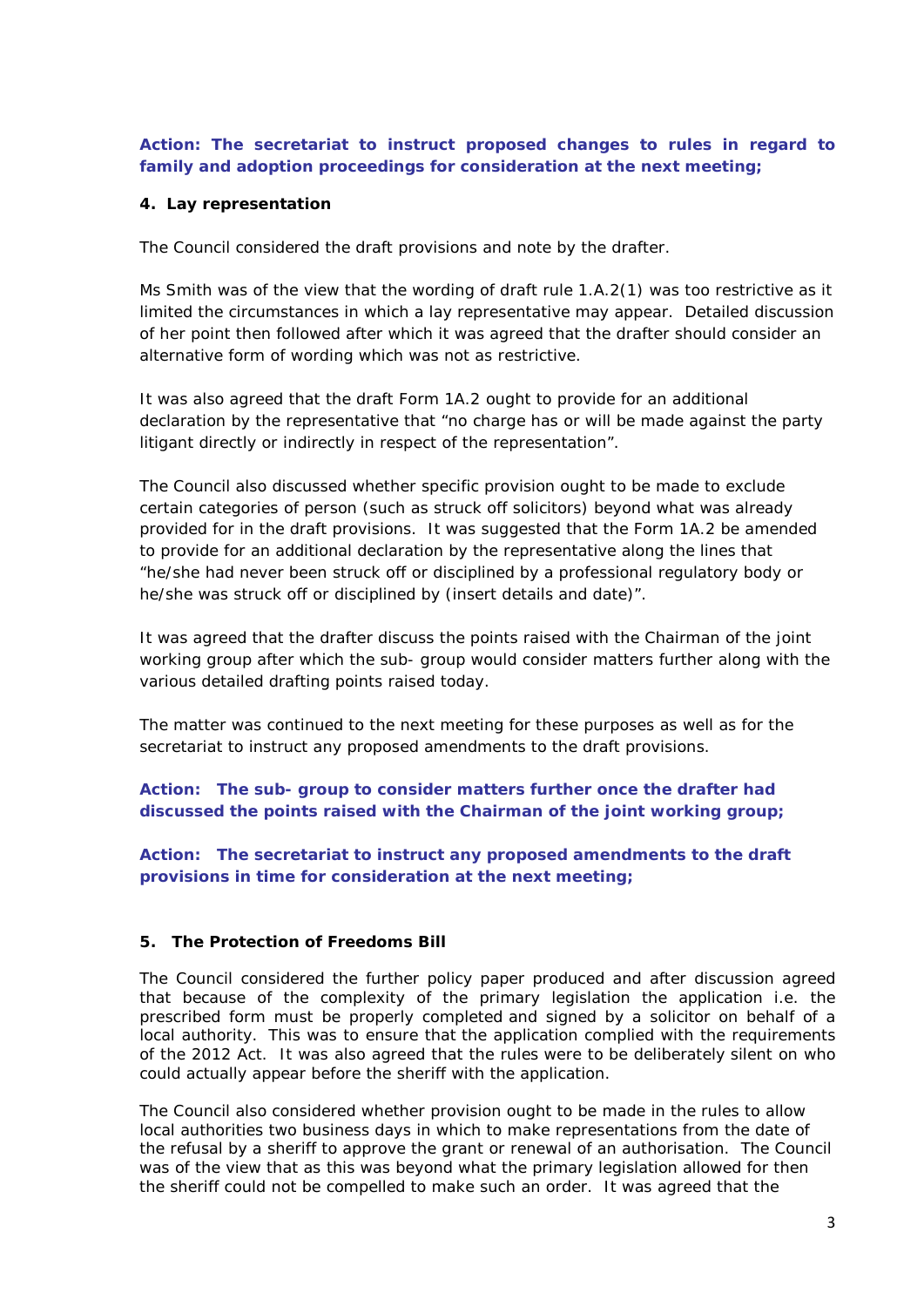**Action: The secretariat to instruct proposed changes to rules in regard to family and adoption proceedings for consideration at the next meeting;** 

### **4. Lay representation**

The Council considered the draft provisions and note by the drafter.

Ms Smith was of the view that the wording of draft rule 1.A.2(1) was too restrictive as it limited the circumstances in which a lay representative may appear. Detailed discussion of her point then followed after which it was agreed that the drafter should consider an alternative form of wording which was not as restrictive.

It was also agreed that the draft Form 1A.2 ought to provide for an additional declaration by the representative that "no charge has or will be made against the party litigant directly or indirectly in respect of the representation".

The Council also discussed whether specific provision ought to be made to exclude certain categories of person (such as struck off solicitors) beyond what was already provided for in the draft provisions. It was suggested that the Form 1A.2 be amended to provide for an additional declaration by the representative along the lines that "he/she had never been struck off or disciplined by a professional regulatory body *or*  he/she was struck off or disciplined by (insert details and date)".

It was agreed that the drafter discuss the points raised with the Chairman of the joint working group after which the sub- group would consider matters further along with the various detailed drafting points raised today.

The matter was continued to the next meeting for these purposes as well as for the secretariat to instruct any proposed amendments to the draft provisions.

**Action: The sub- group to consider matters further once the drafter had discussed the points raised with the Chairman of the joint working group;**

**Action: The secretariat to instruct any proposed amendments to the draft provisions in time for consideration at the next meeting;**

### **5. The Protection of Freedoms Bill**

The Council considered the further policy paper produced and after discussion agreed that because of the complexity of the primary legislation the application i.e. the prescribed form must be properly completed and signed by a solicitor on behalf of a local authority. This was to ensure that the application complied with the requirements of the 2012 Act. It was also agreed that the rules were to be deliberately silent on who could actually appear before the sheriff with the application.

The Council also considered whether provision ought to be made in the rules to allow local authorities two business days in which to make representations from the date of the refusal by a sheriff to approve the grant or renewal of an authorisation. The Council was of the view that as this was beyond what the primary legislation allowed for then the sheriff could not be compelled to make such an order. It was agreed that the